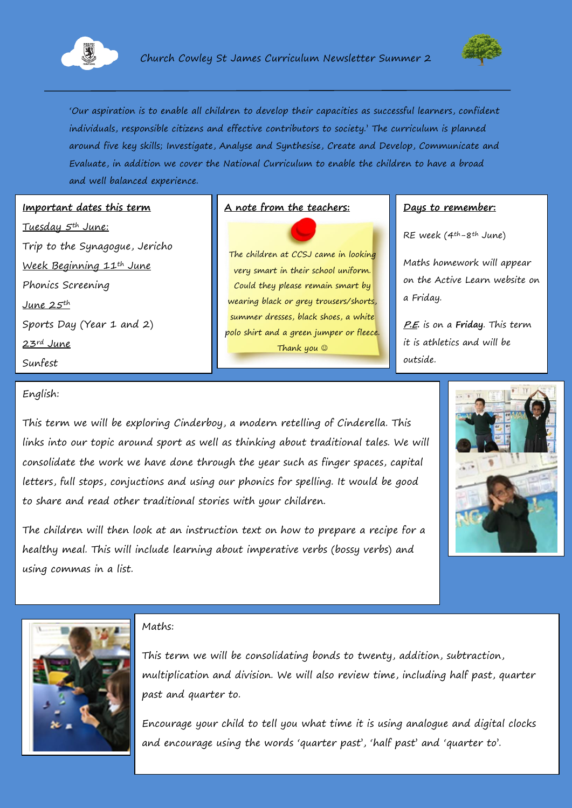



'Our aspiration is to enable all children to develop their capacities as successful learners, confident individuals, responsible citizens and effective contributors to society.' The curriculum is planned around five key skills; Investigate, Analyse and Synthesise, Create and Develop, Communicate and Evaluate, in addition we cover the National Curriculum to enable the children to have a broad and well balanced experience.

#### **Important dates this term**

Tuesday 5th June: Trip to the Synagogue, Jericho Week Beginning 11th June Phonics Screening June  $2.5$ <sup>th</sup> Sports Day (Year 1 and 2) 23rd June Sunfest

### A note from the teachers: **Days to remember:**

The children at CCSJ came in looking very smart in their school uniform. Could they please remain smart by wearing black or grey trousers/shorts, summer dresses, black shoes, a white polo shirt and a green jumper or fleece. Thank you

RE week  $(4^{th}-8^{th})$  June)

Maths homework will appear on the Active Learn website on a Friday.

**P.E.** is on a **Friday**. This term it is athletics and will be outside.

#### English:

This term we will be exploring Cinderboy, a modern retelling of Cinderella. This links into our topic around sport as well as thinking about traditional tales. We will consolidate the work we have done through the year such as finger spaces, capital letters, full stops, conjuctions and using our phonics for spelling. It would be good to share and read other traditional stories with your children.







#### Maths:

This term we will be consolidating bonds to twenty, addition, subtraction, multiplication and division. We will also review time, including half past, quarter past and quarter to.

Encourage your child to tell you what time it is using analogue and digital clocks and encourage using the words 'quarter past', 'half past' and 'quarter to'.